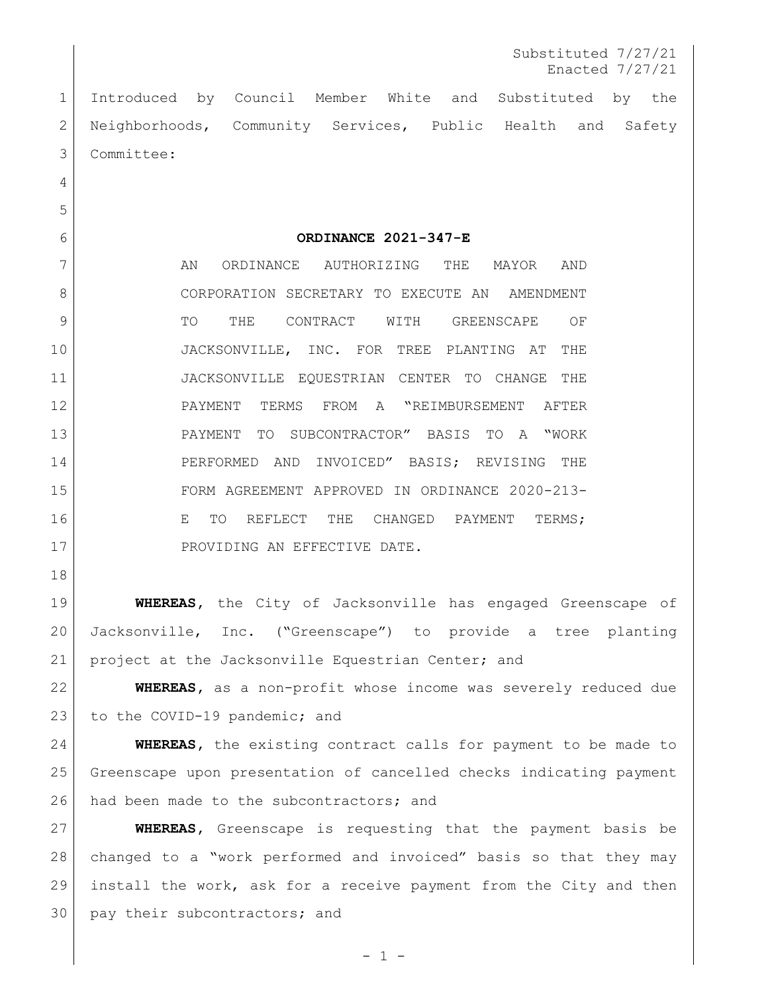Introduced by Council Member White and Substituted by the Neighborhoods, Community Services, Public Health and Safety Committee:

**ORDINANCE 2021-347-E**

7 AN ORDINANCE AUTHORIZING THE MAYOR AND 8 CORPORATION SECRETARY TO EXECUTE AN AMENDMENT 9 TO THE CONTRACT WITH GREENSCAPE OF JACKSONVILLE, INC. FOR TREE PLANTING AT THE JACKSONVILLE EQUESTRIAN CENTER TO CHANGE THE PAYMENT TERMS FROM A "REIMBURSEMENT AFTER PAYMENT TO SUBCONTRACTOR" BASIS TO A "WORK PERFORMED AND INVOICED" BASIS; REVISING THE FORM AGREEMENT APPROVED IN ORDINANCE 2020-213- **E TO REFLECT THE CHANGED PAYMENT TERMS:** 17 PROVIDING AN EFFECTIVE DATE.

 **WHEREAS,** the City of Jacksonville has engaged Greenscape of Jacksonville, Inc. ("Greenscape") to provide a tree planting project at the Jacksonville Equestrian Center; and

 **WHEREAS,** as a non-profit whose income was severely reduced due 23 to the COVID-19 pandemic; and

 **WHEREAS,** the existing contract calls for payment to be made to Greenscape upon presentation of cancelled checks indicating payment 26 had been made to the subcontractors; and

 **WHEREAS,** Greenscape is requesting that the payment basis be changed to a "work performed and invoiced" basis so that they may install the work, ask for a receive payment from the City and then 30 pay their subcontractors; and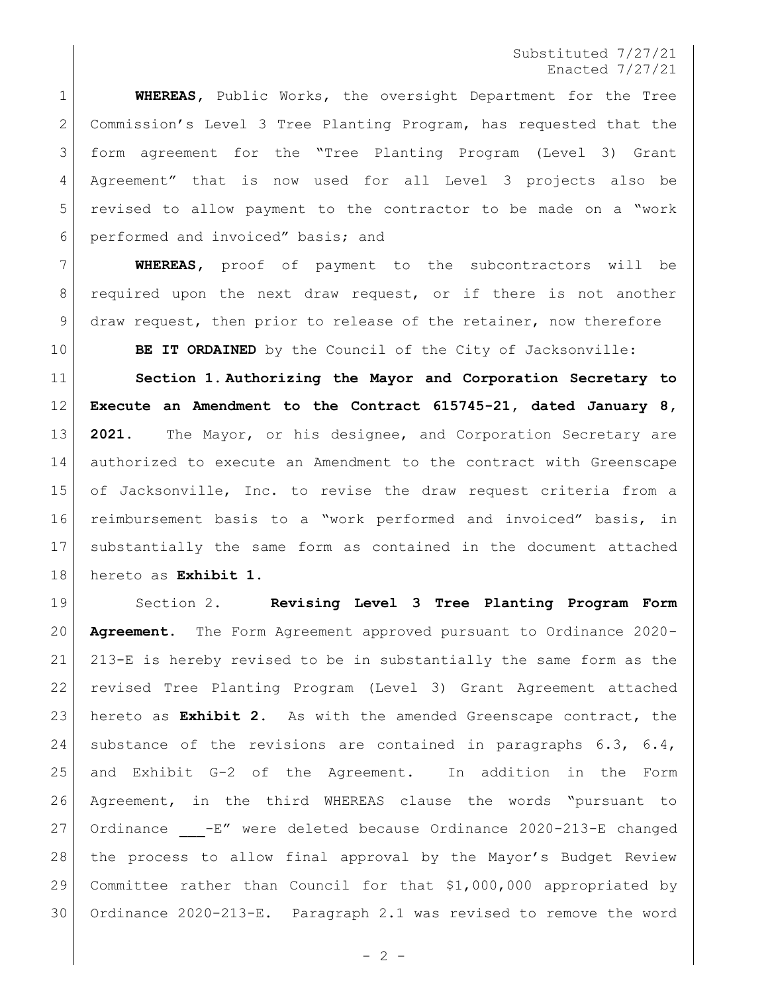## Substituted 7/27/21 Enacted 7/27/21

 **WHEREAS,** Public Works, the oversight Department for the Tree Commission's Level 3 Tree Planting Program, has requested that the form agreement for the "Tree Planting Program (Level 3) Grant Agreement" that is now used for all Level 3 projects also be revised to allow payment to the contractor to be made on a "work performed and invoiced" basis; and

 **WHEREAS,** proof of payment to the subcontractors will be 8 | required upon the next draw request, or if there is not another draw request, then prior to release of the retainer, now therefore

**BE IT ORDAINED** by the Council of the City of Jacksonville:

 **Section 1. Authorizing the Mayor and Corporation Secretary to Execute an Amendment to the Contract 615745-21, dated January 8, 2021.** The Mayor, or his designee, and Corporation Secretary are authorized to execute an Amendment to the contract with Greenscape of Jacksonville, Inc. to revise the draw request criteria from a reimbursement basis to a "work performed and invoiced" basis, in substantially the same form as contained in the document attached hereto as **Exhibit 1**.

 Section 2. **Revising Level 3 Tree Planting Program Form Agreement.** The Form Agreement approved pursuant to Ordinance 2020- 213-E is hereby revised to be in substantially the same form as the revised Tree Planting Program (Level 3) Grant Agreement attached hereto as **Exhibit 2**. As with the amended Greenscape contract, the substance of the revisions are contained in paragraphs 6.3, 6.4, and Exhibit G-2 of the Agreement. In addition in the Form Agreement, in the third WHEREAS clause the words "pursuant to 27 Ordinance  $-E''$  were deleted because Ordinance 2020-213-E changed the process to allow final approval by the Mayor's Budget Review Committee rather than Council for that \$1,000,000 appropriated by Ordinance 2020-213-E. Paragraph 2.1 was revised to remove the word